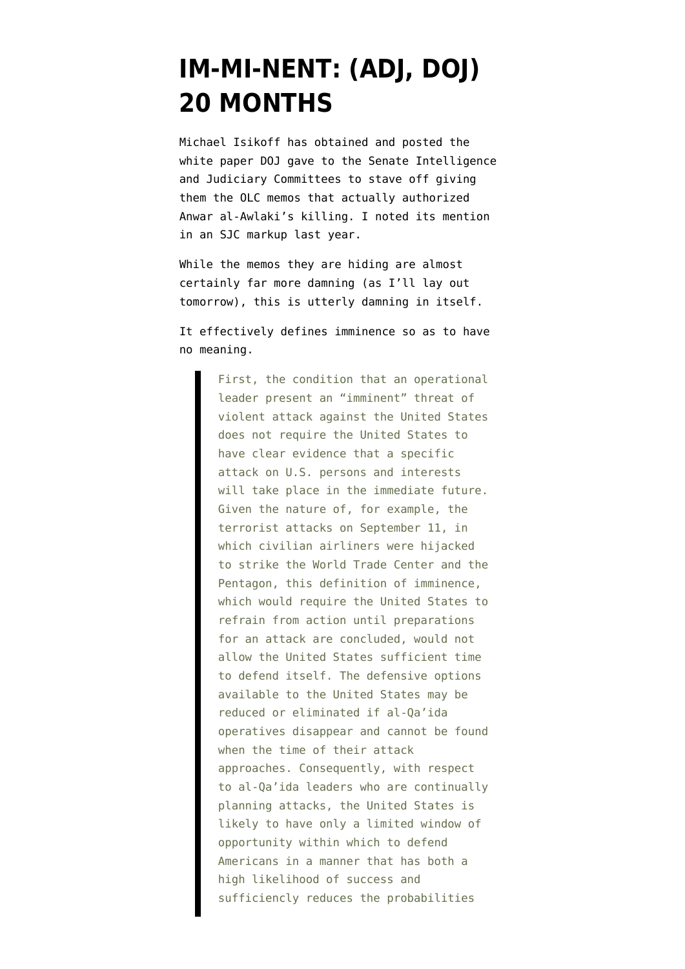## **[IM-MI-NENT: \(ADJ, DOJ\)](https://www.emptywheel.net/2013/02/04/im-mi-nent-adj-doj-20-months/) [20 MONTHS](https://www.emptywheel.net/2013/02/04/im-mi-nent-adj-doj-20-months/)**

Michael Isikoff has obtained and posted the [white paper](http://msnbcmedia.msn.com/i/msnbc/sections/news/020413_DOJ_White_Paper.pdf) DOJ gave to the Senate Intelligence and Judiciary Committees to stave off giving them the OLC memos that actually authorized Anwar al-Awlaki's killing. I [noted its mention](http://t.co/gcqNPIk) in an SJC markup last year.

While the memos they are hiding are almost certainly far more damning (as I'll lay out tomorrow), this is utterly damning in itself.

It effectively defines imminence so as to have no meaning.

> First, the condition that an operational leader present an "imminent" threat of violent attack against the United States does not require the United States to have clear evidence that a specific attack on U.S. persons and interests will take place in the immediate future. Given the nature of, for example, the terrorist attacks on September 11, in which civilian airliners were hijacked to strike the World Trade Center and the Pentagon, this definition of imminence, which would require the United States to refrain from action until preparations for an attack are concluded, would not allow the United States sufficient time to defend itself. The defensive options available to the United States may be reduced or eliminated if al-Qa'ida operatives disappear and cannot be found when the time of their attack approaches. Consequently, with respect to al-Qa'ida leaders who are continually planning attacks, the United States is likely to have only a limited window of opportunity within which to defend Americans in a manner that has both a high likelihood of success and sufficiencly reduces the probabilities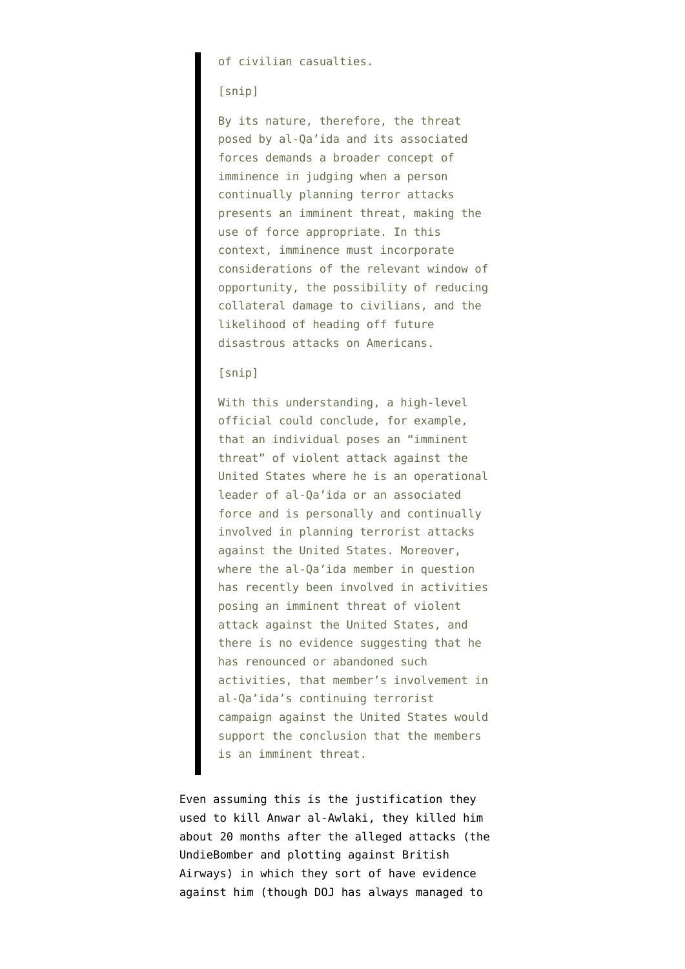of civilian casualties.

## [snip]

By its nature, therefore, the threat posed by al-Qa'ida and its associated forces demands a broader concept of imminence in judging when a person continually planning terror attacks presents an imminent threat, making the use of force appropriate. In this context, imminence must incorporate considerations of the relevant window of opportunity, the possibility of reducing collateral damage to civilians, and the likelihood of heading off future disastrous attacks on Americans.

## [snip]

With this understanding, a high-level official could conclude, for example, that an individual poses an "imminent threat" of violent attack against the United States where he is an operational leader of al-Qa'ida or an associated force and is personally and continually involved in planning terrorist attacks against the United States. Moreover, where the al-Qa'ida member in question has recently been involved in activities posing an imminent threat of violent attack against the United States, and there is no evidence suggesting that he has renounced or abandoned such activities, that member's involvement in al-Qa'ida's continuing terrorist campaign against the United States would support the conclusion that the members is an imminent threat.

Even assuming this is the justification they used to kill Anwar al-Awlaki, they killed him about 20 months after the alleged attacks (the UndieBomber and plotting against British Airways) in which they sort of have evidence against him (though DOJ has always managed to